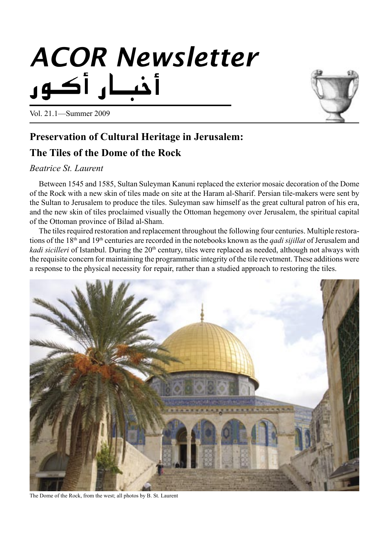# *ACOR Newsletter*



Vol. 21.1—Summer 2009

# **Preservation of Cultural Heritage in Jerusalem:**

# **The Tiles of the Dome of the Rock**

# *Beatrice St. Laurent*

Between 1545 and 1585, Sultan Suleyman Kanuni replaced the exterior mosaic decoration of the Dome of the Rock with a new skin of tiles made on site at the Haram al-Sharif. Persian tile-makers were sent by the Sultan to Jerusalem to produce the tiles. Suleyman saw himself as the great cultural patron of his era, and the new skin of tiles proclaimed visually the Ottoman hegemony over Jerusalem, the spiritual capital of the Ottoman province of Bilad al-Sham.

The tiles required restoration and replacement throughout the following four centuries. Multiple restorations of the 18th and 19th centuries are recorded in the notebooks known as the *qadi sijillat* of Jerusalem and *kadi sicilleri* of Istanbul. During the 20<sup>th</sup> century, tiles were replaced as needed, although not always with the requisite concern for maintaining the programmatic integrity of the tile revetment. These additions were a response to the physical necessity for repair, rather than a studied approach to restoring the tiles.



The Dome of the Rock, from the west; all photos by B. St. Laurent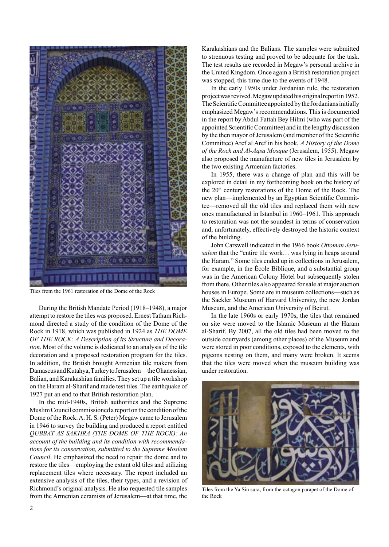

Tiles from the 1961 restoration of the Dome of the Rock

During the British Mandate Period (1918–1948), a major attempt to restore the tiles was proposed. Ernest Tatham Richmond directed a study of the condition of the Dome of the Rock in 1918, which was published in 1924 as *THE DOME OF THE ROCK: A Description of its Structure and Decoration*. Most of the volume is dedicated to an analysis of the tile decoration and a proposed restoration program for the tiles. In addition, the British brought Armenian tile makers from Damascus and Kutahya, Turkey to Jerusalem—the Ohanessian, Balian, and Karakashian families. They set up a tile workshop on the Haram al-Sharif and made test tiles. The earthquake of 1927 put an end to that British restoration plan.

In the mid-1940s, British authorities and the Supreme Muslim Council commissioned a report on the condition of the Dome of the Rock. A. H. S. (Peter) Megaw came to Jerusalem in 1946 to survey the building and produced a report entitled *QUBBAT AS SAKHRA (THE DOME OF THE ROCK): An account of the building and its condition with recommendations for its conservation, submitted to the Supreme Moslem Council*. He emphasized the need to repair the dome and to restore the tiles—employing the extant old tiles and utilizing replacement tiles where necessary. The report included an extensive analysis of the tiles, their types, and a revision of Richmond's original analysis. He also requested tile samples from the Armenian ceramists of Jerusalem—at that time, the

Karakashians and the Balians. The samples were submitted to strenuous testing and proved to be adequate for the task. The test results are recorded in Megaw's personal archive in the United Kingdom. Once again a British restoration project was stopped, this time due to the events of 1948.

In the early 1950s under Jordanian rule, the restoration project was revived. Megaw updated his original report in 1952. The Scientific Committee appointed by the Jordanians initially emphasized Megaw's recommendations. This is documented in the report by Abdul Fattah Bey Hilmi (who was part of the appointed Scientific Committee) and in the lengthy discussion by the then mayor of Jerusalem (and member of the Scientific Committee) Aref al Aref in his book, *A History of the Dome of the Rock and Al-Aqsa Mosque* (Jerusalem, 1955). Megaw also proposed the manufacture of new tiles in Jerusalem by the two existing Armenian factories.

In 1955, there was a change of plan and this will be explored in detail in my forthcoming book on the history of the 20<sup>th</sup> century restorations of the Dome of the Rock. The new plan—implemented by an Egyptian Scientific Committee—removed all the old tiles and replaced them with new ones manufactured in Istanbul in 1960–1961. This approach to restoration was not the soundest in terms of conservation and, unfortunately, effectively destroyed the historic context of the building.

John Carswell indicated in the 1966 book *Ottoman Jerusalem* that the "entire tile work… was lying in heaps around the Haram." Some tiles ended up in collections in Jerusalem, for example, in the École Biblique, and a substantial group was in the American Colony Hotel but subsequently stolen from there. Other tiles also appeared for sale at major auction houses in Europe. Some are in museum collections—such as the Sackler Museum of Harvard University, the new Jordan Museum, and the American University of Beirut.

In the late 1960s or early 1970s, the tiles that remained on site were moved to the Islamic Museum at the Haram al-Sharif. By 2007, all the old tiles had been moved to the outside courtyards (among other places) of the Museum and were stored in poor conditions, exposed to the elements, with pigeons nesting on them, and many were broken. It seems that the tiles were moved when the museum building was under restoration.



Tiles from the Ya Sin sura, from the octagon parapet of the Dome of the Rock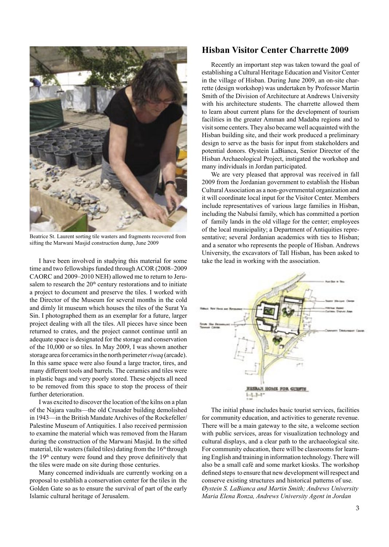

Beatrice St. Laurent sorting tile wasters and fragments recovered from sifting the Marwani Masjid construction dump, June 2009

I have been involved in studying this material for some time and two fellowships funded through ACOR (2008–2009 CAORC and 2009–2010 NEH) allowed me to return to Jerusalem to research the  $20<sup>th</sup>$  century restorations and to initiate a project to document and preserve the tiles. I worked with the Director of the Museum for several months in the cold and dimly lit museum which houses the tiles of the Surat Ya Sin. I photographed them as an exemplar for a future, larger project dealing with all the tiles. All pieces have since been returned to crates, and the project cannot continue until an adequate space is designated for the storage and conservation of the 10,000 or so tiles. In May 2009, I was shown another storage area for ceramics in the north perimeter *riwaq* (arcade). In this same space were also found a large tractor, tires, and many different tools and barrels. The ceramics and tiles were in plastic bags and very poorly stored. These objects all need to be removed from this space to stop the process of their further deterioration.

I was excited to discover the location of the kilns on a plan of the Najara vaults—the old Crusader building demolished in 1943—in the British Mandate Archives of the Rockefeller/ Palestine Museum of Antiquities. I also received permission to examine the material which was removed from the Haram during the construction of the Marwani Masjid. In the sifted material, tile wasters (failed tiles) dating from the 16<sup>th</sup> through the  $19<sup>th</sup>$  century were found and they prove definitively that the tiles were made on site during those centuries.

Many concerned individuals are currently working on a proposal to establish a conservation center for the tiles in the Golden Gate so as to ensure the survival of part of the early Islamic cultural heritage of Jerusalem.

#### **Hisban Visitor Center Charrette 2009**

Recently an important step was taken toward the goal of establishing a Cultural Heritage Education and Visitor Center in the village of Hisban. During June 2009, an on-site charrette (design workshop) was undertaken by Professor Martin Smith of the Division of Architecture at Andrews University with his architecture students. The charrette allowed them to learn about current plans for the development of tourism facilities in the greater Amman and Madaba regions and to visit some centers. They also became well acquainted with the Hisban building site, and their work produced a preliminary design to serve as the basis for input from stakeholders and potential donors. Øystein LaBianca, Senior Director of the Hisban Archaeological Project, instigated the workshop and many individuals in Jordan participated.

We are very pleased that approval was received in fall 2009 from the Jordanian government to establish the Hisban Cultural Association as a non-governmental organization and it will coordinate local input for the Visitor Center. Members include representatives of various large families in Hisban, including the Nabulsi family, which has committed a portion of family lands in the old village for the center; employees of the local municipality; a Department of Antiquities representative; several Jordanian academics with ties to Hisban; and a senator who represents the people of Hisban. Andrews University, the excavators of Tall Hisban, has been asked to take the lead in working with the association.



The initial phase includes basic tourist services, facilities for community education, and activities to generate revenue. There will be a main gateway to the site, a welcome section with public services, areas for visualization technology and cultural displays, and a clear path to the archaeological site. For community education, there will be classrooms for learning English and training in information technology. There will also be a small café and some market kiosks. The workshop defined steps to ensure that new development will respect and conserve existing structures and historical patterns of use. *Øystein S. LaBianca and Martin Smith; Andrews University Maria Elena Ronza, Andrews University Agent in Jordan*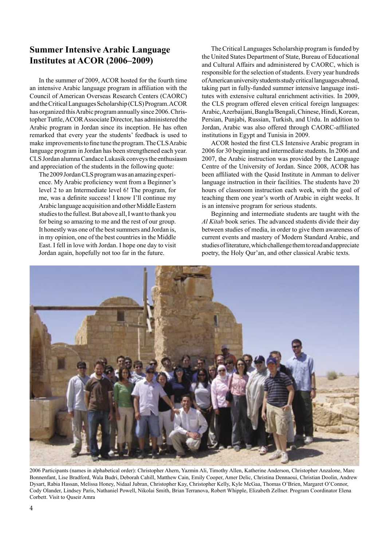## **Summer Intensive Arabic Language Institutes at ACOR (2006–2009)**

In the summer of 2009, ACOR hosted for the fourth time an intensive Arabic language program in affiliation with the Council of American Overseas Research Centers (CAORC) and the Critical Languages Scholarship (CLS) Program. ACOR has organized this Arabic program annually since 2006. Christopher Tuttle, ACOR Associate Director, has administered the Arabic program in Jordan since its inception. He has often remarked that every year the students' feedback is used to make improvements to fine tune the program.The CLSArabic language program in Jordan has been strengthened each year. CLS Jordan alumna Candace Lukasik conveys the enthusiasm and appreciation of the students in the following quote:

The 2009 Jordan CLS program was an amazing experience. My Arabic proficiency went from a Beginner's level 2 to an Intermediate level 6! The program, for me, was a definite success! I know I'll continue my Arabic language acquisition and other Middle Eastern studies to the fullest. But above all, I want to thank you for being so amazing to me and the rest of our group. It honestly was one of the best summers and Jordan is, in my opinion, one of the best countries in the Middle East. I fell in love with Jordan. I hope one day to visit Jordan again, hopefully not too far in the future.

The Critical Languages Scholarship program is funded by the United States Department of State, Bureau of Educational and Cultural Affairs and administered by CAORC, which is responsible for the selection of students. Every year hundreds of American university students study critical languages abroad, taking part in fully-funded summer intensive language institutes with extensive cultural enrichment activities. In 2009, the CLS program offered eleven critical foreign languages: Arabic, Azerbaijani, Bangla/Bengali, Chinese, Hindi, Korean, Persian, Punjabi, Russian, Turkish, and Urdu. In addition to Jordan, Arabic was also offered through CAORC-affiliated institutions in Egypt and Tunisia in 2009.

ACOR hosted the first CLS Intensive Arabic program in 2006 for 30 beginning and intermediate students. In 2006 and 2007, the Arabic instruction was provided by the Language Centre of the University of Jordan. Since 2008, ACOR has been affiliated with the Qasid Institute in Amman to deliver language instruction in their facilities. The students have 20 hours of classroom instruction each week, with the goal of teaching them one year's worth of Arabic in eight weeks. It is an intensive program for serious students.

Beginning and intermediate students are taught with the *Al Kitab* book series. The advanced students divide their day between studies of media, in order to give them awareness of current events and mastery of Modern Standard Arabic, and studies of literature, which challenge them to read and appreciate poetry, the Holy Qur'an, and other classical Arabic texts.



2006 Participants (names in alphabetical order): Christopher Ahern, Yazmin Ali, Timothy Allen, Katherine Anderson, Christopher Anzalone, Marc Bonnenfant, Lise Bradford, Wala Budri, Deborah Cahill, Matthew Cain, Emily Cooper, Amer Delic, Christina Dennaoui, Christian Doolin, Andrew Dysart, Rabia Hassan, Melissa Honey, Nidaal Jubran, Christopher Kay, Christopher Kelly, Kyle McGaa, Thomas O'Brien, Margaret O'Connor, Cody Olander, Lindsey Paris, Nathaniel Powell, Nikolai Smith, Brian Terranova, Robert Whipple, Elizabeth Zellner. Program Coordinator Elena Corbett. Visit to Quseir Amra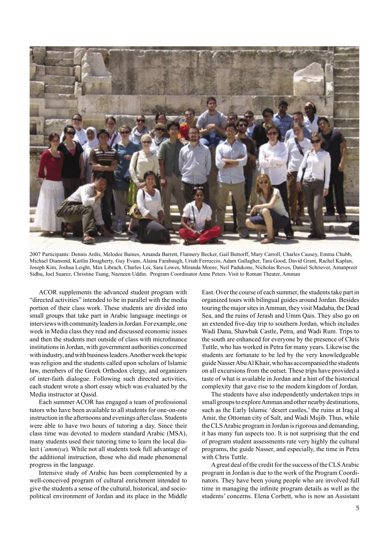

2007 Participants: Dennis Ardis, Melodee Baines, Amanda Barrett, Flannery Becker, Gail Buttorff, Mary Carroll, Charles Causey, Emma Chubb, Michael Diamond, Kaitlin Dougherty, Guy Evans, Alaina Farabaugh, Uriah Ferruccio, Adam Gallagher, Tara Good, David Grant, Rachel Kaplan, Joseph Kim, Joshua Leight, Max Librach, Charles Loi, Sara Lowes, Miranda Moore, Neil Padukone, Nicholas Reves, Daniel Schriever, Amanpreet Sidhu, Joel Suarez, Christine Tsang, Nazneen Uddin. Program Coordinator Anne Peters. Visit to Roman Theater, Amman

ACOR supplements the advanced student program with "directed activities" intended to be in parallel with the media portion of their class work. These students are divided into small groups that take part in Arabic language meetings or interviews with community leaders in Jordan. For example, one week in Media class they read and discussed economic issues and then the students met outside of class with microfinance institutions in Jordan, with government authorities concerned with industry, and with business leaders. Another week the topic was religion and the students called upon scholars of Islamic law, members of the Greek Orthodox clergy, and organizers of inter-faith dialogue. Following such directed activities, each student wrote a short essay which was evaluated by the Media instructor at Qasid.

Each summer ACOR has engaged a team of professional tutors who have been available to all students for one-on-one instruction in the afternoons and evenings after class. Students were able to have two hours of tutoring a day. Since their class time was devoted to modern standard Arabic (MSA), many students used their tutoring time to learn the local dialect (*'ammiya*). While not all students took full advantage of the additional instruction, those who did made phenomenal progress in the language.

Intensive study of Arabic has been complemented by a well-conceived program of cultural enrichment intended to give the students a sense of the cultural, historical, and sociopolitical environment of Jordan and its place in the Middle East. Over the course of each summer, the students take part in organized tours with bilingual guides around Jordan. Besides touring the major sites in Amman, they visit Madaba, the Dead Sea, and the ruins of Jerash and Umm Qais. They also go on an extended five-day trip to southern Jordan, which includes Wadi Dana, Shawbak Castle, Petra, and Wadi Rum. Trips to the south are enhanced for everyone by the presence of Chris Tuttle, who has worked in Petra for many years. Likewise the students are fortunate to be led by the very knowledgeable guide Nasser Abu Al Khair, who has accompanied the students on all excursions from the outset. These trips have provided a taste of what is available in Jordan and a hint of the historical complexity that gave rise to the modern kingdom of Jordan.

The students have also independently undertaken trips in small groups to explore Amman and other nearby destinations, such as the Early Islamic 'desert castles,' the ruins at Iraq al Amir, the Ottoman city of Salt, and Wadi Mujib. Thus, while the CLS Arabic program in Jordan is rigorous and demanding, it has many fun aspects too. It is not surprising that the end of program student assessments rate very highly the cultural programs, the guide Nasser, and especially, the time in Petra with Chris Tuttle.

A great deal of the credit for the success of the CLS Arabic program in Jordan is due to the work of the Program Coordinators. They have been young people who are involved full time in managing the infinite program details as well as the students' concerns. Elena Corbett, who is now an Assistant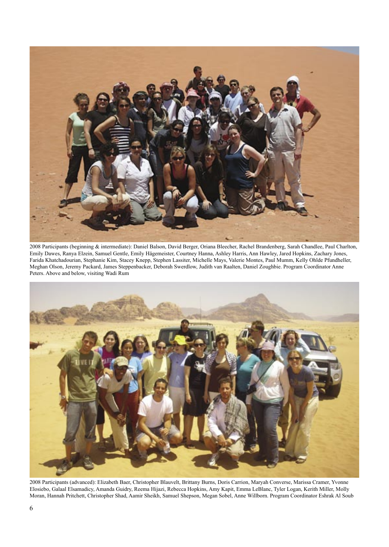

2008 Participants (beginning & intermediate): Daniel Balson, David Berger, Oriana Bleecher, Rachel Brandenberg, Sarah Chandlee, Paul Charlton, Emily Dawes, Ranya Elzein, Samuel Gentle, Emily Hägemeister, Courtney Hanna, Ashley Harris, Ann Hawley, Jared Hopkins, Zachary Jones, Farida Khatchadourian, Stephanie Kim, Stacey Knepp, Stephen Lassiter, Michelle Mays, Valerie Montes, Paul Mumm, Kelly Ohlde Pfundheller, Meghan Olson, Jeremy Packard, James Steppenbacker, Deborah Swerdlow, Judith van Raalten, Daniel Zoughbie. Program Coordinator Anne Peters. Above and below, visiting Wadi Rum



2008 Participants (advanced): Elizabeth Baer, Christopher Blauvelt, Brittany Burns, Doris Carrion, Maryah Converse, Marissa Cramer, Yvonne Elosiebo, Galaal Elsamadicy, Amanda Guidry, Reema Hijazi, Rebecca Hopkins, Amy Kapit, Emma LeBlanc, Tyler Logan, Kerith Miller, Molly Moran, Hannah Pritchett, Christopher Shad, Aamir Sheikh, Samuel Shepson, Megan Sobel, Anne Willborn. Program Coordinator Eshrak Al Soub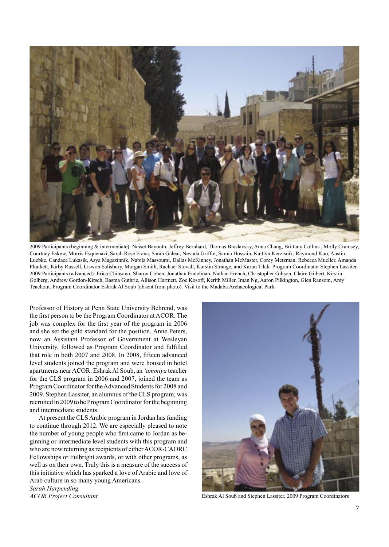

2009 Participants (beginning & intermediate): Neiset Bayouth, Jeffrey Bernhard, Thomas Braslavsky, Anna Chang, Brittany Collins , Molly Cramsey, Courtney Eskew, Morris Esquenazi, Sarah Rose Frana, Sarah Galeai, Nevada Griffin, Samia Hossain, Kaitlyn Kerzisnik, Raymond Kuo, Austin Luebke, Candace Lukasik, Asya Magazinnik, Nabila Massoumi, Dallas McKinney, Jonathan McMaster, Corey Metzman, Rebecca Mueller, Amanda Plunkett, Kirby Russell, Liswon Salisbury, Morgan Smith, Rachael Stovall, Kurstin Strange, and Karun Tilak. Program Coordinator Stephen Lassiter. 2009 Participants (advanced): Erica Chiusano, Sharon Cohen, Jonathan Endelman, Nathan French, Christopher Gibson, Claire Gilbert, Kirstin Golberg, Andrew Gordon-Kirsch, Basma Guthrie, Allison Hartnett, Zoe Kosoff, Kerith Miller, Iman Ng, Aaron Pilkington, Glen Ransom, Amy Teachout. Program Coordinator Eshrak Al Soub (absent from photo). Visit to the Madaba Archaeological Park

Professor of History at Penn State University Behrend, was the first person to be the Program Coordinator at ACOR. The job was complex for the first year of the program in 2006 and she set the gold standard for the position. Anne Peters, now an Assistant Professor of Government at Wesleyan University, followed as Program Coordinator and fulfilled that role in both 2007 and 2008. In 2008, fifteen advanced level students joined the program and were housed in hotel apartments near ACOR. Eshrak Al Soub, an *'ammiya* teacher for the CLS program in 2006 and 2007, joined the team as Program Coordinator for the Advanced Students for 2008 and 2009. Stephen Lassiter, an alumnus of the CLS program, was recruited in 2009 to be Program Coordinator for the beginning and intermediate students.

At present the CLS Arabic program in Jordan has funding to continue through 2012. We are especially pleased to note the number of young people who first came to Jordan as beginning or intermediate level students with this program and who are now returning as recipients of either ACOR-CAORC Fellowships or Fulbright awards, or with other programs, as well as on their own. Truly this is a measure of the success of this initiative which has sparked a love of Arabic and love of Arab culture in so many young Americans.

*Sarah Harpending ACOR Project Consultant* 



Eshrak Al Soub and Stephen Lassiter, 2009 Program Coordinators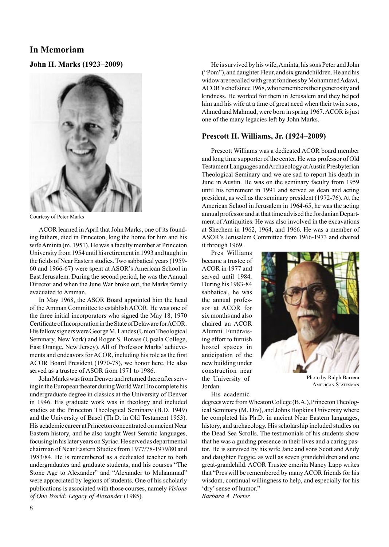# **In Memoriam**

**John H. Marks (1923–2009)**



Courtesy of Peter Marks

ACOR learned in April that John Marks, one of its founding fathers, died in Princeton, long the home for him and his wife Aminta (m. 1951). He was a faculty member at Princeton University from 1954 until his retirement in 1993 and taught in the fields of Near Eastern studies. Two sabbatical years (1959- 60 and 1966-67) were spent at ASOR's American School in East Jerusalem. During the second period, he was the Annual Director and when the June War broke out, the Marks family evacuated to Amman.

In May 1968, the ASOR Board appointed him the head of the Amman Committee to establish ACOR. He was one of the three initial incorporators who signed the May 18, 1970 Certificate of Incorporation in the State of Delaware for ACOR. His fellow signers were George M. Landes (Union Theological Seminary, New York) and Roger S. Boraas (Upsala College, East Orange, New Jersey). All of Professor Marks' achievements and endeavors for ACOR, including his role as the first ACOR Board President (1970-78), we honor here. He also served as a trustee of ASOR from 1971 to 1986.

John Marks was from Denver and returned there after serving in the European theater during World War II to complete his undergraduate degree in classics at the University of Denver in 1946. His graduate work was in theology and included studies at the Princeton Theological Seminary (B.D. 1949) and the University of Basel (Th.D. in Old Testament 1953). His academic career at Princeton concentrated on ancient Near Eastern history, and he also taught West Semitic languages, focusing in his later years on Syriac. He served as departmental chairman of Near Eastern Studies from 1977/78-1979/80 and 1983/84. He is remembered as a dedicated teacher to both undergraduates and graduate students, and his courses "The Stone Age to Alexander" and "Alexander to Muhammad" were appreciated by legions of students. One of his scholarly publications is associated with those courses, namely *Visions of One World: Legacy of Alexander* (1985).

He is survived by his wife, Aminta, his sons Peter and John ("Pom"), and daughter Fleur, and six grandchildren. He and his widow are recalled with great fondness by Mohammed Adawi, ACOR's chef since 1968, who remembers their generosity and kindness. He worked for them in Jerusalem and they helped him and his wife at a time of great need when their twin sons, Ahmed and Mahmud, were born in spring 1967. ACOR is just one of the many legacies left by John Marks.

#### **Prescott H. Williams, Jr. (1924–2009)**

Prescott Williams was a dedicated ACOR board member and long time supporter of the center. He was professor of Old Testament Languages and Archaeology at Austin Presbyterian Theological Seminary and we are sad to report his death in June in Austin. He was on the seminary faculty from 1959 until his retirement in 1991 and served as dean and acting president, as well as the seminary president (1972-76). At the American School in Jerusalem in 1964-65, he was the acting annual professor and at that time advised the Jordanian Department of Antiquities. He was also involved in the excavations at Shechem in 1962, 1964, and 1966. He was a member of ASOR's Jerusalem Committee from 1966-1973 and chaired it through 1969.

Pres Williams became a trustee of ACOR in 1977 and served until 1984. During his 1983-84 sabbatical, he was the annual professor at ACOR for six months and also chaired an ACOR Alumni Fundraising effort to furnish hostel spaces in anticipation of the new building under construction near the University of Jordan.

His academic



Photo by Ralph Barrera AMERICAN STATESMAN

degrees were from Wheaton College (B.A.), Princeton Theological Seminary (M. Div), and Johns Hopkins University where he completed his Ph.D. in ancient Near Eastern languages, history, and archaeology. His scholarship included studies on the Dead Sea Scrolls. The testimonials of his students show that he was a guiding presence in their lives and a caring pastor. He is survived by his wife Jane and sons Scott and Andy and daughter Peggie, as well as seven grandchildren and one great-grandchild. ACOR Trustee emerita Nancy Lapp writes that "Pres will be remembered by many ACOR friends for his wisdom, continual willingness to help, and especially for his 'dry' sense of humor." *Barbara A. Porter*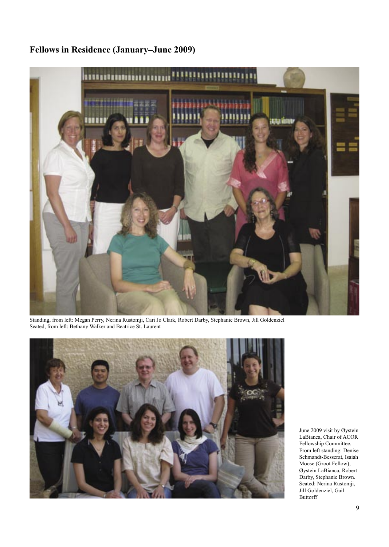# **Fellows in Residence (January–June 2009)**



Standing, from left: Megan Perry, Nerina Rustomji, Cari Jo Clark, Robert Darby, Stephanie Brown, Jill Goldenziel Seated, from left: Bethany Walker and Beatrice St. Laurent



June 2009 visit by Øystein LaBianca, Chair of ACOR Fellowship Committee. From left standing: Denise Schmandt-Besserat, Isaiah Moose (Groot Fellow), Øystein LaBianca, Robert Darby, Stephanie Brown. Seated: Nerina Rustomji, Jill Goldenziel, Gail Buttorff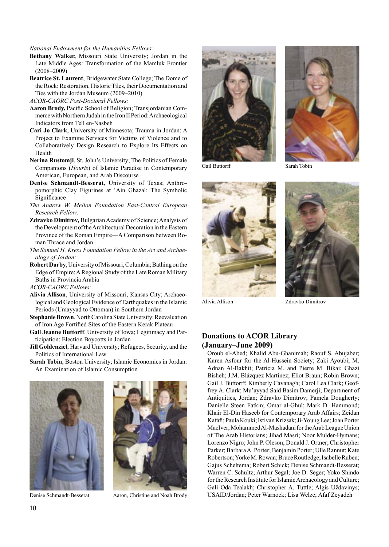#### *National Endowment for the Humanities Fellows:*

- **Bethany Walker,** Missouri State University; Jordan in the Late Middle Ages: Transformation of the Mamluk Frontier (2008–2009)
- **Beatrice St. Laurent**, Bridgewater State College; The Dome of the Rock: Restoration, Historic Tiles, their Documentation and Ties with the Jordan Museum (2009–2010)
- *ACOR-CAORC Post-Doctoral Fellows:*
- **Aaron Brody,** Pacific School of Religion; Transjordanian Commerce with Northern Judah in the Iron II Period: Archaeological Indicators from Tell en-Nasbeh
- **Cari Jo Clark**, University of Minnesota; Trauma in Jordan: A Project to Examine Services for Victims of Violence and to Collaboratively Design Research to Explore Its Effects on Health
- **Nerina Rustomji**, St. John's University; The Politics of Female Companions (*Houris*) of Islamic Paradise in Contemporary American, European, and Arab Discourse
- **Denise Schmandt-Besserat**, University of Texas; Anthropomorphic Clay Figurines at 'Ain Ghazal: The Symbolic Significance
- *The Andrew W. Mellon Foundation East-Central European Research Fellow:*
- **Zdravko Dimitrov***,* Bulgarian Academy of Science; Analysis of the Development of the Architectural Decoration in the Eastern Province of the Roman Empire—A Comparison between Roman Thrace and Jordan
- *The Samuel H. Kress Foundation Fellow in the Art and Archaeology of Jordan:*
- **Robert Darby**, University of Missouri, Columbia; Bathing on the Edge of Empire: A Regional Study of the Late Roman Military Baths in Provincia Arabia

*ACOR-CAORC Fellows:*

- **Alivia Allison**, University of Missouri, Kansas City; Archaeological and Geological Evidence of Earthquakes in the Islamic Periods (Umayyad to Ottoman) in Southern Jordan
- **Stephanie Brown**, North Carolina State University; Reevaluation of Iron Age Fortified Sites of the Eastern Kerak Plateau
- **Gail Jeanne Buttorff**, University of Iowa; Legitimacy and Participation: Election Boycotts in Jordan
- **Jill Goldenziel**, Harvard University; Refugees, Security, and the Politics of International Law

**Sarah Tobin**, Boston University; Islamic Economics in Jordan: An Examination of Islamic Consumption





Denise Schmandt-Besserat Aaron, Christine and Noah Brody





Gail Buttorff Sarah Tobin



Alivia Allison Zdravko Dimitrov

#### **Donations to ACOR Library (January–June 2009)**

Oroub el-Abed; Khalid Abu-Ghanimah; Raouf S. Abujaber; Karen Asfour for the Al-Hussein Society; Zaki Ayoubi; M. Adnan Al-Bakhit; Patricia M. and Pierre M. Bikai; Ghazi Bisheh; J.M. Blázquez Martínez; Eliot Braun; Robin Brown; Gail J. Buttorff; Kimberly Cavanagh; Carol Lea Clark; Geoffrey A. Clark; Mu'ayyad Said Basim Damerji; Department of Antiquities, Jordan; Zdravko Dimitrov; Pamela Dougherty; Danielle Steen Fatkin; Omar al-Ghul; Mark D. Hammond; Khair El-Din Haseeb for Contemporary Arab Affairs; Zeidan Kafafi;PaulaKouki;IstivanKrizsak;Ji-YoungLee;JoanPorter MacIver; Mohammed Al-Mashadani for the Arab League Union of The Arab Historians; Jihad Masri; Noor Mulder-Hymans; Lorenzo Nigro; John P. Oleson; Donald J. Ortner; Christopher Parker; Barbara A. Porter; Benjamin Porter; Ulle Rannut; Kate Robertson; Yorke M. Rowan; Bruce Routledge; Isabelle Ruben; Gajus Scheltema; Robert Schick; Denise Schmandt-Besserat; Warren C. Schultz; Arthur Segal; Joe D. Seger; Yoko Shindo for the Research Institute for Islamic Archaeology and Culture; Gali Oda Tealakh; Christopher A. Tuttle; Algis Uždavinys; USAID/Jordan; Peter Warnock; Lisa Welze; Afaf Zeyadeh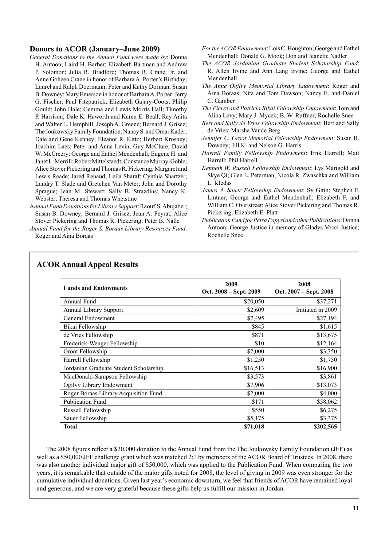#### **Donors to ACOR (January–June 2009)**

- *General Donations to the Annual Fund were made by*: Donna H. Antoon; Laird H. Barber; Elizabeth Bartman and Andrew P. Solomon; Julia R. Bradford; Thomas R. Crane, Jr. and Anne Goheen Crane in honor of Barbara A. Porter's Birthday; Laurel and Ralph Doermann; Peter and Kathy Dorman; Susan B. Downey; Mary Emerson in honor of Barbara A. Porter; Jerry G. Fischer; Paul Fitzpatrick; Elizabeth Gajary-Coots; Philip Gould; John Hale; Gemma and Lewis Morris Hall; Timothy P. Harrison; Dale K. Haworth and Karen E. Beall; Ray Anita and Walter L. Hemphill; Joseph A. Greene; Bernard J. Grisez; The Joukowsky Family Foundation; Nancy S. and Omar Kader; Dale and Gene Kenney; Eleanor R. Kitto; Herbert Krosney; Joachim Laes; Peter and Anna Levin; Guy McClure; David W. McCreery; George and Eathel Mendenhall; Eugene H. and Janet L. Merrill; Robert Mittelstaedt; Constance Murray-Goble; Alice Stover Pickering and Thomas R. Pickering; Margaret and Lewis Reade; Jared Renaud; Leila Sharaf; Cynthia Shartzer; Landry T. Slade and Gretchen Van Meter; John and Dorothy Sprague; Jean M. Stewart; Sally B. Strazdins; Nancy K. Webster; Theresa and Thomas Whetstine
- A*nnual Fund Donations for Library Support*: Raouf S. Abujaber; Susan B. Downey; Bernard J. Grisez; Jean A. Peyrat; Alice Stover Pickering and Thomas R. Pickering; Peter B. Nalle
- *Annual Fund for the Roger S. Boraas Library Resources Fund*: Roger and Aina Boraas
- *For the ACOR Endowment*: Lois C. Houghton; George and Eathel Mendenhall; Donald G. Mook; Don and Jeanette Nadler
- *The ACOR Jordanian Graduate Student Scholarship Fund*: R. Allen Irvine and Ann Lang Irvine; George and Eathel Mendenhall
- *The Anne Ogilvy Memorial Library Endowment*: Roger and Aina Boraas; Nita and Tom Dawson; Nancy E. and Daniel C. Gamber
- *The Pierre and Patricia Bikai Fellowship Endowment*: Tom and Alina Levy; Mary J. Mycek; B. W. Ruffner; Rochelle Snee
- *Bert and Sally de Vries Fellowship Endowment*: Bert and Sally de Vries; Marsha Vande Berg
- *Jennifer C. Groot Memorial Fellowship Endowment*: Susan B. Downey; Jill K. and Nelson G. Harris
- *Harrell Family Fellowship Endowment*: Erik Harrell; Matt Harrell; Phil Harrell
- *Kenneth W. Russell Fellowship Endowment*: Lys Marigold and Skye Qi; Glen L. Peterman; Nicola R. Zwaschka and William L. Kledas
- *James A. Sauer Fellowship Endowment*: Sy Gitin; Stephen F. Lintner; George and Eathel Mendenhall; Elizabeth F. and William C. Overstreet; Alice Stover Pickering and Thomas R. Pickering; Elizabeth E. Platt
- *Publication Fund for Petra Papyri and other Publications*: Donna Antoon; George Justice in memory of Gladys Vocci Justice; Rochelle Snee

| <b>Funds and Endowments</b>            | 2009<br>Oct. 2008 – Sept. 2009 | 2008<br>Oct. 2007 – Sept. 2008 |
|----------------------------------------|--------------------------------|--------------------------------|
| Annual Fund                            | \$20,050                       | \$37,271                       |
| <b>Annual Library Support</b>          | \$2,609                        | Initiated in 2009              |
| General Endowment                      | \$7,495                        | \$27,194                       |
| Bikai Fellowship                       | \$845                          | \$1,615                        |
| de Vries Fellowship                    | \$871                          | \$13,675                       |
| Frederick-Wenger Fellowship            | \$10                           | \$12,164                       |
| Groot Fellowship                       | \$2,000                        | \$3,350                        |
| Harrell Fellowship                     | \$1,250                        | \$1,750                        |
| Jordanian Graduate Student Scholarship | \$16,513                       | \$16,900                       |
| MacDonald-Sampson Fellowship           | \$3,573                        | \$3,861                        |
| Ogilvy Library Endowment               | \$7,906                        | \$13,073                       |
| Roger Boraas Library Acquisition Fund  | \$2,000                        | \$4,000                        |
| <b>Publication Fund</b>                | \$171                          | \$58,062                       |
| Russell Fellowship                     | \$550                          | \$6,275                        |
| Sauer Fellowship                       | \$5,175                        | \$3,375                        |
| <b>Total</b>                           | \$71,018                       | \$202,565                      |

#### **ACOR Annual Appeal Results**

The 2008 figures reflect a \$20,000 donation to the Annual Fund from the The Joukowsky Family Foundation (JFF) as well as a \$50,000 JFF challenge grant which was matched 2:1 by members of the ACOR Board of Trustees. In 2008, there was also another individual major gift of \$50,000, which was applied to the Publication Fund. When comparing the two years, it is remarkable that outside of the major gifts noted for 2008, the level of giving in 2009 was even stronger for the cumulative individual donations. Given last year's economic downturn, we feel that friends of ACOR have remained loyal and generous, and we are very grateful because these gifts help us fulfill our mission in Jordan.